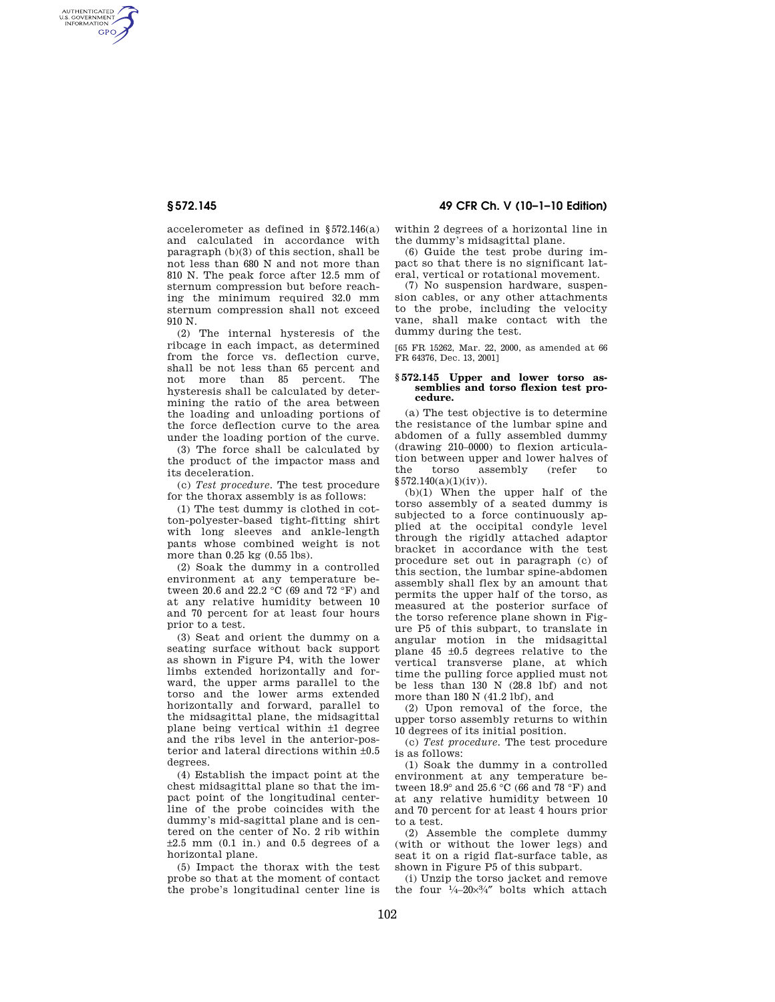AUTHENTICATED<br>U.S. GOVERNMENT<br>INFORMATION **GPO** 

> accelerometer as defined in §572.146(a) and calculated in accordance with paragraph (b)(3) of this section, shall be not less than 680 N and not more than 810 N. The peak force after 12.5 mm of sternum compression but before reaching the minimum required 32.0 mm sternum compression shall not exceed 910 N.

> (2) The internal hysteresis of the ribcage in each impact, as determined from the force vs. deflection curve, shall be not less than 65 percent and not more than 85 percent. The hysteresis shall be calculated by determining the ratio of the area between the loading and unloading portions of the force deflection curve to the area under the loading portion of the curve.

(3) The force shall be calculated by the product of the impactor mass and its deceleration.

(c) *Test procedure.* The test procedure for the thorax assembly is as follows:

(1) The test dummy is clothed in cotton-polyester-based tight-fitting shirt with long sleeves and ankle-length pants whose combined weight is not more than 0.25 kg (0.55 lbs).

(2) Soak the dummy in a controlled environment at any temperature between 20.6 and 22.2 °C (69 and 72 °F) and at any relative humidity between 10 and 70 percent for at least four hours prior to a test.

(3) Seat and orient the dummy on a seating surface without back support as shown in Figure P4, with the lower limbs extended horizontally and forward, the upper arms parallel to the torso and the lower arms extended horizontally and forward, parallel to the midsagittal plane, the midsagittal plane being vertical within ±1 degree and the ribs level in the anterior-posterior and lateral directions within ±0.5 degrees.

(4) Establish the impact point at the chest midsagittal plane so that the impact point of the longitudinal centerline of the probe coincides with the dummy's mid-sagittal plane and is centered on the center of No. 2 rib within  $\pm 2.5$  mm (0.1 in.) and 0.5 degrees of a horizontal plane.

(5) Impact the thorax with the test probe so that at the moment of contact the probe's longitudinal center line is

**§ 572.145 49 CFR Ch. V (10–1–10 Edition)** 

within 2 degrees of a horizontal line in the dummy's midsagittal plane.

(6) Guide the test probe during impact so that there is no significant lateral, vertical or rotational movement.

(7) No suspension hardware, suspension cables, or any other attachments to the probe, including the velocity vane, shall make contact with the dummy during the test.

[65 FR 15262, Mar. 22, 2000, as amended at 66 FR 64376, Dec. 13, 2001]

## **§ 572.145 Upper and lower torso assemblies and torso flexion test procedure.**

(a) The test objective is to determine the resistance of the lumbar spine and abdomen of a fully assembled dummy (drawing 210–0000) to flexion articulation between upper and lower halves of the torso assembly (refer to  $§572.140(a)(1)(iv)).$ 

(b)(1) When the upper half of the torso assembly of a seated dummy is subjected to a force continuously applied at the occipital condyle level through the rigidly attached adaptor bracket in accordance with the test procedure set out in paragraph (c) of this section, the lumbar spine-abdomen assembly shall flex by an amount that permits the upper half of the torso, as measured at the posterior surface of the torso reference plane shown in Figure P5 of this subpart, to translate in angular motion in the midsagittal plane 45 ±0.5 degrees relative to the vertical transverse plane, at which time the pulling force applied must not be less than 130 N (28.8 lbf) and not more than 180 N (41.2 lbf), and

(2) Upon removal of the force, the upper torso assembly returns to within 10 degrees of its initial position.

(c) *Test procedure.* The test procedure is as follows:

(1) Soak the dummy in a controlled environment at any temperature between 18.9° and 25.6 °C (66 and 78 °F) and at any relative humidity between 10 and 70 percent for at least 4 hours prior to a test.

(2) Assemble the complete dummy (with or without the lower legs) and seat it on a rigid flat-surface table, as shown in Figure P5 of this subpart.

(i) Unzip the torso jacket and remove the four  $\frac{1}{4}$ –20 $\times\frac{3}{4}$ " bolts which attach